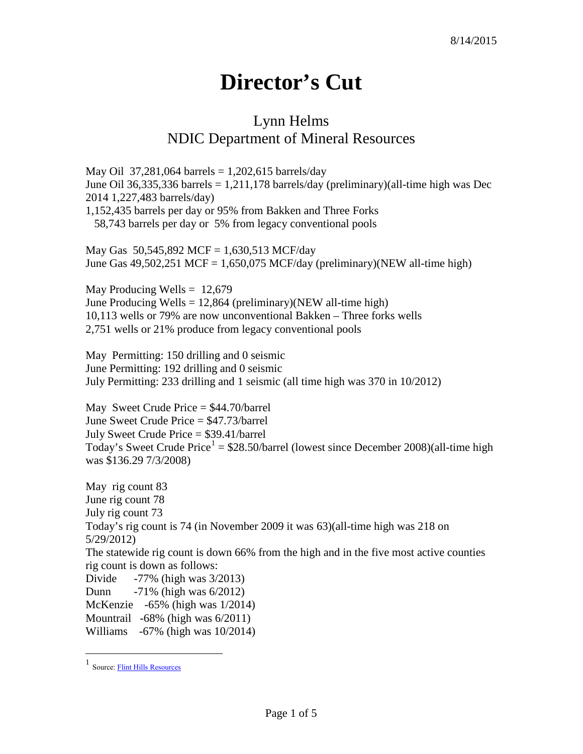## **Director's Cut**

## Lynn Helms NDIC Department of Mineral Resources

May Oil 37,281,064 barrels =  $1,202,615$  barrels/day June Oil 36,335,336 barrels  $= 1,211,178$  barrels/day (preliminary)(all-time high was Dec 2014 1,227,483 barrels/day) 1,152,435 barrels per day or 95% from Bakken and Three Forks 58,743 barrels per day or 5% from legacy conventional pools

May Gas 50,545,892 MCF = 1,630,513 MCF/day June Gas  $49,502,251$  MCF = 1,650,075 MCF/day (preliminary)(NEW all-time high)

May Producing Wells  $= 12,679$ June Producing Wells  $= 12,864$  (preliminary)(NEW all-time high) 10,113 wells or 79% are now unconventional Bakken – Three forks wells 2,751 wells or 21% produce from legacy conventional pools

May Permitting: 150 drilling and 0 seismic June Permitting: 192 drilling and 0 seismic July Permitting: 233 drilling and 1 seismic (all time high was 370 in 10/2012)

May Sweet Crude Price = \$44.70/barrel June Sweet Crude Price = \$47.73/barrel July Sweet Crude Price = \$39.41/barrel Today's Sweet Crude Price<sup>[1](#page-0-0)</sup> =  $$28.50/b$ arrel (lowest since December 2008)(all-time high was \$136.29 7/3/2008)

May rig count 83 June rig count 78 July rig count 73 Today's rig count is 74 (in November 2009 it was 63)(all-time high was 218 on 5/29/2012) The statewide rig count is down 66% from the high and in the five most active counties rig count is down as follows: Divide -77% (high was 3/2013) Dunn -71% (high was 6/2012) McKenzie -65% (high was 1/2014) Mountrail -68% (high was 6/2011) Williams -67% (high was 10/2014)

<span id="page-0-0"></span> <sup>1</sup> Source[: Flint Hills Resources](http://www.fhr.com/refining/bulletins.aspx?AspxAutoDetectCookieSupport=1)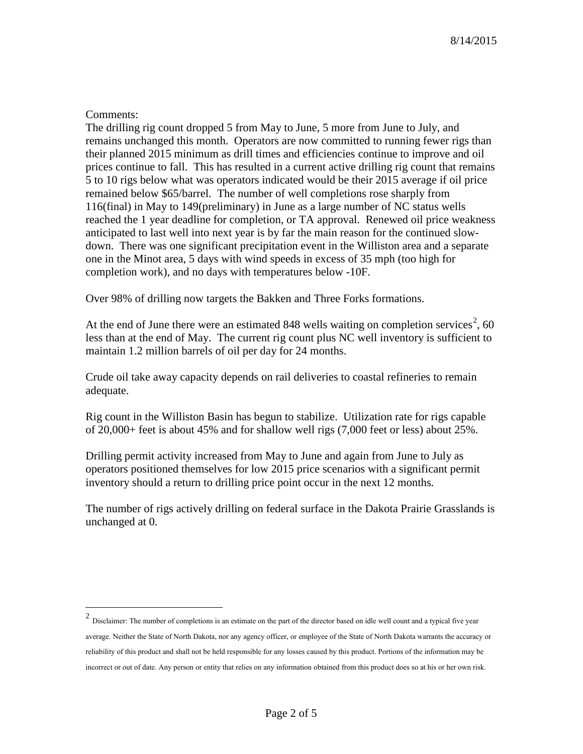## Comments:

The drilling rig count dropped 5 from May to June, 5 more from June to July, and remains unchanged this month. Operators are now committed to running fewer rigs than their planned 2015 minimum as drill times and efficiencies continue to improve and oil prices continue to fall. This has resulted in a current active drilling rig count that remains 5 to 10 rigs below what was operators indicated would be their 2015 average if oil price remained below \$65/barrel. The number of well completions rose sharply from 116(final) in May to 149(preliminary) in June as a large number of NC status wells reached the 1 year deadline for completion, or TA approval. Renewed oil price weakness anticipated to last well into next year is by far the main reason for the continued slowdown. There was one significant precipitation event in the Williston area and a separate one in the Minot area, 5 days with wind speeds in excess of 35 mph (too high for completion work), and no days with temperatures below -10F.

Over 98% of drilling now targets the Bakken and Three Forks formations.

At the end of June there were an estimated 848 wells waiting on completion services<sup>[2](#page-1-0)</sup>, 60 less than at the end of May. The current rig count plus NC well inventory is sufficient to maintain 1.2 million barrels of oil per day for 24 months.

Crude oil take away capacity depends on rail deliveries to coastal refineries to remain adequate.

Rig count in the Williston Basin has begun to stabilize. Utilization rate for rigs capable of 20,000+ feet is about 45% and for shallow well rigs (7,000 feet or less) about 25%.

Drilling permit activity increased from May to June and again from June to July as operators positioned themselves for low 2015 price scenarios with a significant permit inventory should a return to drilling price point occur in the next 12 months.

The number of rigs actively drilling on federal surface in the Dakota Prairie Grasslands is unchanged at 0.

<span id="page-1-0"></span> <sup>2</sup> Disclaimer: The number of completions is an estimate on the part of the director based on idle well count and a typical five year average. Neither the State of North Dakota, nor any agency officer, or employee of the State of North Dakota warrants the accuracy or reliability of this product and shall not be held responsible for any losses caused by this product. Portions of the information may be incorrect or out of date. Any person or entity that relies on any information obtained from this product does so at his or her own risk.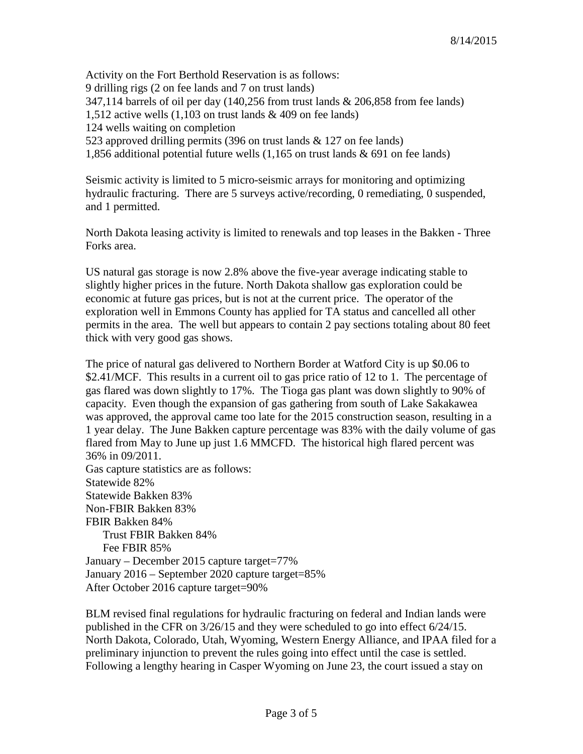Activity on the Fort Berthold Reservation is as follows: 9 drilling rigs (2 on fee lands and 7 on trust lands) 347,114 barrels of oil per day (140,256 from trust lands & 206,858 from fee lands) 1,512 active wells (1,103 on trust lands & 409 on fee lands) 124 wells waiting on completion 523 approved drilling permits (396 on trust lands & 127 on fee lands) 1,856 additional potential future wells (1,165 on trust lands & 691 on fee lands)

Seismic activity is limited to 5 micro-seismic arrays for monitoring and optimizing hydraulic fracturing. There are 5 surveys active/recording, 0 remediating, 0 suspended, and 1 permitted.

North Dakota leasing activity is limited to renewals and top leases in the Bakken - Three Forks area.

US natural gas storage is now 2.8% above the five-year average indicating stable to slightly higher prices in the future. North Dakota shallow gas exploration could be economic at future gas prices, but is not at the current price. The operator of the exploration well in Emmons County has applied for TA status and cancelled all other permits in the area. The well but appears to contain 2 pay sections totaling about 80 feet thick with very good gas shows.

The price of natural gas delivered to Northern Border at Watford City is up \$0.06 to \$2.41/MCF. This results in a current oil to gas price ratio of 12 to 1. The percentage of gas flared was down slightly to 17%. The Tioga gas plant was down slightly to 90% of capacity. Even though the expansion of gas gathering from south of Lake Sakakawea was approved, the approval came too late for the 2015 construction season, resulting in a 1 year delay. The June Bakken capture percentage was 83% with the daily volume of gas flared from May to June up just 1.6 MMCFD. The historical high flared percent was 36% in 09/2011. Gas capture statistics are as follows: Statewide 82% Statewide Bakken 83% Non-FBIR Bakken 83% FBIR Bakken 84% Trust FBIR Bakken 84%

 Fee FBIR 85% January – December 2015 capture target=77% January 2016 – September 2020 capture target=85% After October 2016 capture target=90%

BLM revised final regulations for hydraulic fracturing on federal and Indian lands were published in the CFR on 3/26/15 and they were scheduled to go into effect 6/24/15. North Dakota, Colorado, Utah, Wyoming, Western Energy Alliance, and IPAA filed for a preliminary injunction to prevent the rules going into effect until the case is settled. Following a lengthy hearing in Casper Wyoming on June 23, the court issued a stay on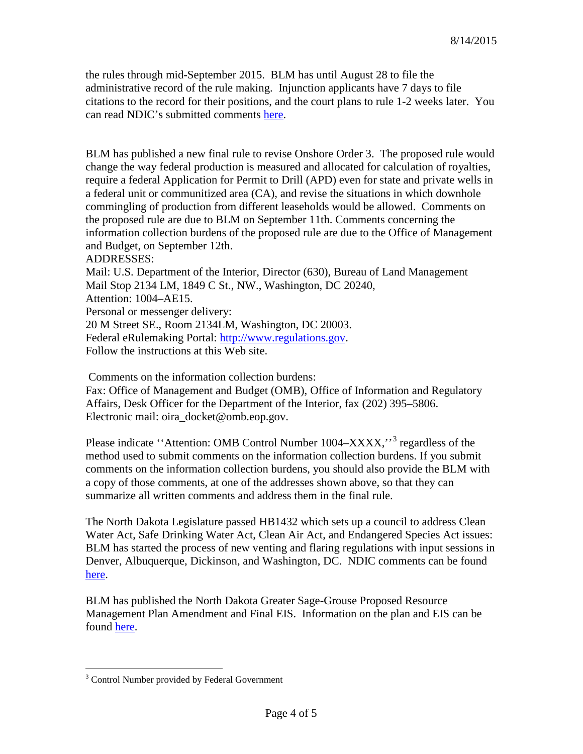the rules through mid-September 2015. BLM has until August 28 to file the administrative record of the rule making. Injunction applicants have 7 days to file citations to the record for their positions, and the court plans to rule 1-2 weeks later. You can read NDIC's submitted comments [here.](http://www.nd.gov/ndic/ic-press/BLM-comments-120625.pdf)

BLM has published a new final rule to revise Onshore Order 3. The proposed rule would change the way federal production is measured and allocated for calculation of royalties, require a federal Application for Permit to Drill (APD) even for state and private wells in a federal unit or communitized area (CA), and revise the situations in which downhole commingling of production from different leaseholds would be allowed. Comments on the proposed rule are due to BLM on September 11th. Comments concerning the information collection burdens of the proposed rule are due to the Office of Management and Budget, on September 12th.

ADDRESSES:

Mail: U.S. Department of the Interior, Director (630), Bureau of Land Management Mail Stop 2134 LM, 1849 C St., NW., Washington, DC 20240, Attention: 1004–AE15. Personal or messenger delivery:

20 M Street SE., Room 2134LM, Washington, DC 20003. Federal eRulemaking Portal: [http://www.regulations.gov.](http://www.regulations.gov/) Follow the instructions at this Web site.

Comments on the information collection burdens:

Fax: Office of Management and Budget (OMB), Office of Information and Regulatory Affairs, Desk Officer for the Department of the Interior, fax (202) 395–5806. Electronic mail: oira\_docket@omb.eop.gov.

Please indicate "Attention: OMB Control Number 1004–XXXX,"<sup>[3](#page-3-0)</sup> regardless of the method used to submit comments on the information collection burdens. If you submit comments on the information collection burdens, you should also provide the BLM with a copy of those comments, at one of the addresses shown above, so that they can summarize all written comments and address them in the final rule.

The North Dakota Legislature passed HB1432 which sets up a council to address Clean Water Act, Safe Drinking Water Act, Clean Air Act, and Endangered Species Act issues: BLM has started the process of new venting and flaring regulations with input sessions in Denver, Albuquerque, Dickinson, and Washington, DC. NDIC comments can be found [here.](http://www.nd.gov/ndic/ic-press/BLM-comments-140509.pdf)

BLM has published the North Dakota Greater Sage-Grouse Proposed Resource Management Plan Amendment and Final EIS. Information on the plan and EIS can be found [here.](https://www.blm.gov/epl-front-office/eplanning/planAndProjectSite.do?methodName=dispatchToPatternPage¤tPageId=48797)

<span id="page-3-0"></span><sup>&</sup>lt;sup>3</sup> Control Number provided by Federal Government